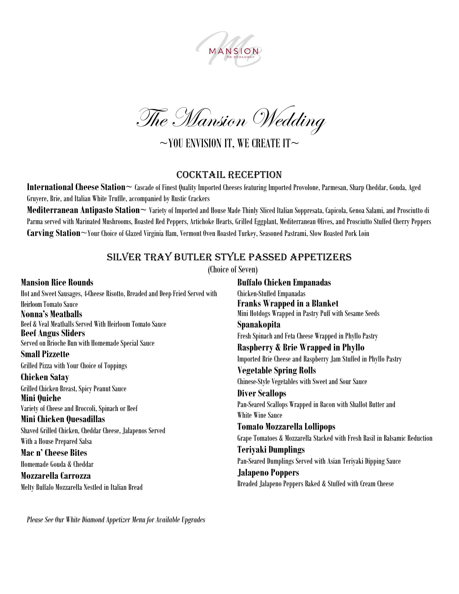

The Mansion Wedding

 $\sim$ YOU ENVISION IT, WE CREATE IT $\sim$ 

#### Cocktail reception

**International Cheese Station~** Cascade of Finest Quality Imported Cheeses featuring Imported Provolone, Parmesan, Sharp Cheddar, Gouda, Aged Gruyere, Brie, and Italian White Truffle, accompanied by Rustic Crackers

**Mediterranean Antipasto Station~** Variety of Imported and House Made Thinly Sliced Italian Soppresata, Capicola, Genoa Salami, and Prosciutto di Parma served with Marinated Mushrooms, Roasted Red Peppers, Artichoke Hearts, Grilled Eggplant, Mediterranean Olives, and Prosciutto Stuffed Cherry Peppers **Carving Station**~Your Choice of Glazed Virginia Ham, Vermont Oven Roasted Turkey, Seasoned Pastrami, Slow Roasted Pork Loin

## Silver Tray Butler Style Passed appetizers

(Choice of Seven)

**Mansion Rice Rounds** Hot and Sweet Sausages, 4-Cheese Risotto, Breaded and Deep Fried Served with Heirloom Tomato Sauce **Nonna's Meatballs** Beef & Veal Meatballs Served With Heirloom Tomato Sauce **Beef** Angus Sliders Served on Brioche Bun with Homemade Special Sauce **Small Pizzette** Grilled Pizza with Your Choice of Toppings **Chicken Satay** Grilled Chicken Breast, Spicy Peanut Sauce **Mini Quiche** Variety of Cheese and Broccoli, Spinach or Beef **Mini Chicken Quesadillas** Shaved Grilled Chicken, Cheddar Cheese, Jalapenos Served With a House Prepared Salsa **Mac n' Cheese Bites** Homemade Gouda & Cheddar **Mozzarella Carrozza**

**Buffalo Chicken Empanadas** Chicken-Stuffed Empanadas **Franks Wrapped in a Blanket** Mini Hotdogs Wrapped in Pastry Puff with Sesame Seeds **Spanakopita** Fresh Spinach and Feta Cheese Wrapped in Phyllo Pastry **Raspberry & Brie Wrapped in Phyllo** Imported Brie Cheese and Raspberry Jam Stuffed in Phyllo Pastry **Vegetable Spring Rolls** Chinese-Style Vegetables with Sweet and Sour Sauce **Diver Scallops** Pan-Seared Scallops Wrapped in Bacon with Shallot Butter and White Wine Sauce **Tomato Mozzarella Lollipops** Grape Tomatoes & Mozzarella Stacked with Fresh Basil in Balsamic Reduction **Teriyaki Dumplings** Pan-Seared Dumplings Served with Asian Teriyaki Dipping Sauce **Jalapeno Poppers** Breaded Jalapeno Peppers Baked & Stuffed with Cream Cheese

*Please See Our White Diamond Appetizer Menu for Available Upgrades*

Melty Buffalo Mozzarella Nestled in Italian Bread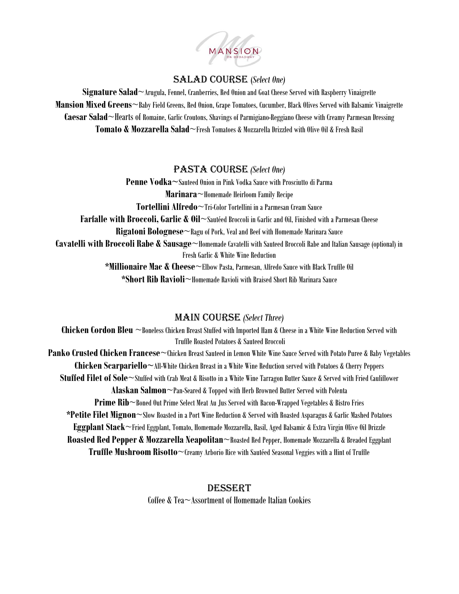

#### Salad Course (*Select One)*

**Signature Salad**~Arugula, Fennel, Cranberries, Red Onion and Goat Cheese Served with Raspberry Vinaigrette **Mansion Mixed Greens**~Baby Field Greens, Red Onion, Grape Tomatoes, Cucumber, Black Olives Served with Balsamic Vinaigrette **Caesar Salad**~Hearts of Romaine, Garlic Croutons, Shavings of Parmigiano-Reggiano Cheese with Creamy Parmesan Dressing **Tomato & Mozzarella Salad**~Fresh Tomatoes & Mozzarella Drizzled with Olive Oil & Fresh Basil

## Pasta Course *(Select One)*

**Penne Vodka~**Sauteed Onion in Pink Vodka Sauce with Prosciutto di Parma **Marinara**~Homemade Heirloom Family Recipe **Tortellini Alfredo**~Tri-Color Tortellini in a Parmesan Cream Sauce **Farfalle with Broccoli, Garlic & Oil**~Sautéed Broccoli in Garlic and Oil, Finished with a Parmesan Cheese **Rigatoni Bolognese**~Ragu of Pork, Veal and Beef with Homemade Marinara Sauce **Cavatelli with Broccoli Rabe & Sausage**~Homemade Cavatelli with Sauteed Broccoli Rabe and Italian Sausage (optional) in Fresh Garlic & White Wine Reduction **\*Millionaire Mac & Cheese**~Elbow Pasta, Parmesan, Alfredo Sauce with Black Truffle Oil **\*Short Rib Ravioli**~Homemade Ravioli with Braised Short Rib Marinara Sauce

# Main Course *(Select Three)*

**Chicken Cordon Bleu** ~Boneless Chicken Breast Stuffed with Imported Ham & Cheese in a White Wine Reduction Served with Truffle Roasted Potatoes & Sauteed Broccoli **Panko Crusted Chicken Francese**~Chicken Breast Sauteed in Lemon White Wine Sauce Served with Potato Puree & Baby Vegetables **Chicken Scarpariello~**All-White Chicken Breast in a White Wine Reduction served with Potatoes & Cherry Peppers **Stuffed Filet of Sole**~Stuffed with Crab Meat & Risotto in a White Wine Tarragon Butter Sauce & Served with Fried Cauliflower **Alaskan Salmon**~Pan-Seared & Topped with Herb Browned Butter Served with Polenta **Prime Rib**~Boned Out Prime Select Meat Au Jus Served with Bacon-Wrapped Vegetables & Bistro Fries **\*Petite Filet Mignon**~Slow Roasted in a Port Wine Reduction & Served with Roasted Asparagus & Garlic Mashed Potatoes **Eggplant Stack**~Fried Eggplant, Tomato, Homemade Mozzarella, Basil, Aged Balsamic & Extra Virgin Olive Oil Drizzle **Roasted Red Pepper & Mozzarella Neapolitan**~Roasted Red Pepper, Homemade Mozzarella & Breaded Eggplant **Truffle Mushroom Risotto**~Creamy Arborio Rice with Sautéed Seasonal Veggies with a Hint of Truffle

## **DESSERT**

Coffee & Tea~Assortment of Homemade Italian Cookies